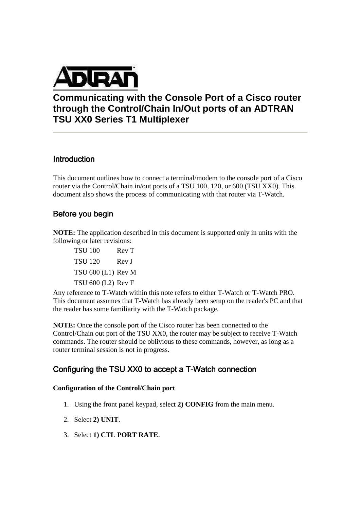

# **Communicating with the Console Port of a Cisco router through the Control/Chain In/Out ports of an ADTRAN TSU XX0 Series T1 Multiplexer**

## **Introduction**

This document outlines how to connect a terminal/modem to the console port of a Cisco router via the Control/Chain in/out ports of a TSU 100, 120, or 600 (TSU XX0). This document also shows the process of communicating with that router via T-Watch.

## Before you begin

**NOTE:** The application described in this document is supported only in units with the following or later revisions:

TSU 100 Rev T TSU 120 Rev J TSU 600 (L1) Rev M TSU 600 (L2) Rev F

Any reference to T-Watch within this note refers to either T-Watch or T-Watch PRO. This document assumes that T-Watch has already been setup on the reader's PC and that the reader has some familiarity with the T-Watch package.

**NOTE:** Once the console port of the Cisco router has been connected to the Control/Chain out port of the TSU XX0, the router may be subject to receive T-Watch commands. The router should be oblivious to these commands, however, as long as a router terminal session is not in progress.

## Configuring the TSU XX0 to accept a T-Watch connection

### **Configuration of the Control/Chain port**

- 1. Using the front panel keypad, select **2) CONFIG** from the main menu.
- 2. Select **2) UNIT**.
- 3. Select **1) CTL PORT RATE**.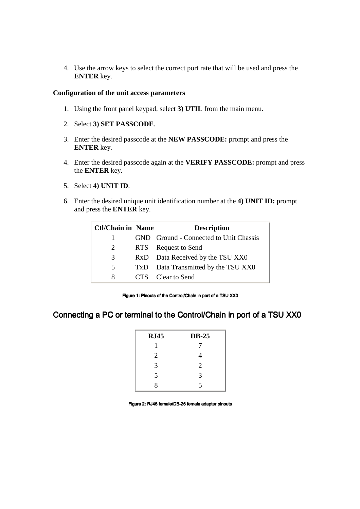4. Use the arrow keys to select the correct port rate that will be used and press the **ENTER** key.

### **Configuration of the unit access parameters**

- 1. Using the front panel keypad, select **3) UTIL** from the main menu.
- 2. Select **3) SET PASSCODE**.
- 3. Enter the desired passcode at the **NEW PASSCODE:** prompt and press the **ENTER** key.
- 4. Enter the desired passcode again at the **VERIFY PASSCODE:** prompt and press the **ENTER** key.
- 5. Select **4) UNIT ID**.
- 6. Enter the desired unique unit identification number at the **4) UNIT ID:** prompt and press the **ENTER** key.

| <b>Ctl/Chain in Name</b> | <b>Description</b>                     |
|--------------------------|----------------------------------------|
| 1                        | GND Ground - Connected to Unit Chassis |
| 2                        | RTS Request to Send                    |
| 3                        | RxD Data Received by the TSU XX0       |
| 5                        | TxD Data Transmitted by the TSU XX0    |
| 8                        | CTS Clear to Send                      |

Figure 1: Pinouts of the Control/Chain in port of a TSU XX0

## Connecting a PC or terminal to the Control/Chain in port of a TSU XX0

| <b>RJ45</b> | $DB-25$        |
|-------------|----------------|
| 1           |                |
| 2           | 4              |
| 3           | $\overline{2}$ |
| 5           | 3              |
| 8           | 5              |

Figure 2: RJ45 female/DB-25 female adapter pinouts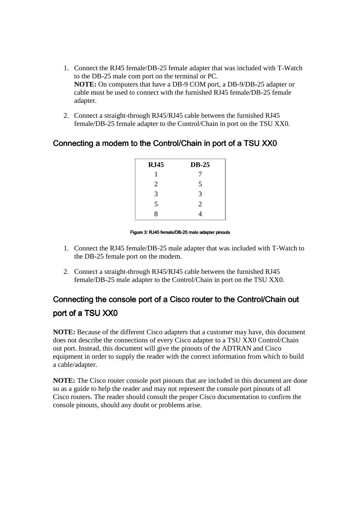- 1. Connect the RJ45 female/DB-25 female adapter that was included with T-Watch to the DB-25 male com port on the terminal or PC. **NOTE:** On computers that have a DB-9 COM port, a DB-9/DB-25 adapter or cable must be used to connect with the furnished RJ45 female/DB-25 female adapter.
- 2. Connect a straight-through RJ45/RJ45 cable between the furnished RJ45 female/DB-25 female adapter to the Control/Chain in port on the TSU XX0.

## Connecting a modem to the Control/Chain in port of a TSU XX0

| <b>RJ45</b> | <b>DB-25</b>   |
|-------------|----------------|
| 1           |                |
| 2           | 5              |
| 3           | 3              |
| 5           | $\overline{2}$ |
| 8           |                |
|             |                |

### Figure 3: RJ45 female/DB-25 male adapter pinouts

- 1. Connect the RJ45 female/DB-25 male adapter that was included with T-Watch to the DB-25 female port on the modem.
- 2. Connect a straight-through RJ45/RJ45 cable between the furnished RJ45 female/DB-25 male adapter to the Control/Chain in port on the TSU XX0.

# Connecting the console port of a Cisco router to the Control/Chain out port of a TSU XX0

**NOTE:** Because of the different Cisco adapters that a customer may have, this document does not describe the connections of every Cisco adapter to a TSU XX0 Control/Chain out port. Instead, this document will give the pinouts of the ADTRAN and Cisco equipment in order to supply the reader with the correct information from which to build a cable/adapter.

**NOTE:** The Cisco router console port pinouts that are included in this document are done so as a guide to help the reader and may not represent the console port pinouts of all Cisco routers. The reader should consult the proper Cisco documentation to confirm the console pinouts, should any doubt or problems arise.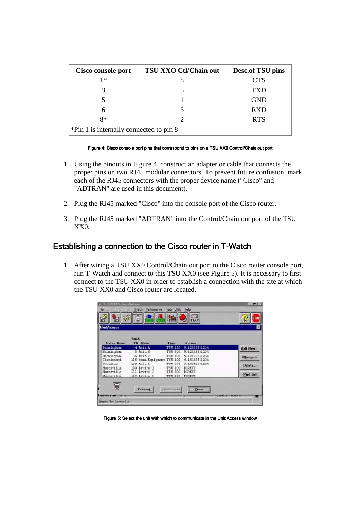| Cisco console port                      | TSU XXO Ctl/Chain out | Desc.of TSU pins |
|-----------------------------------------|-----------------------|------------------|
| $1*$                                    |                       | <b>CTS</b>       |
|                                         |                       | TXD              |
|                                         |                       | <b>GND</b>       |
| 6                                       | 3                     | <b>RXD</b>       |
| $8*$                                    |                       | <b>RTS</b>       |
| *Pin 1 is internally connected to pin 8 |                       |                  |

### Figure 4: Cisco console port pins that correspond to pins on a TSU XX0 Control/Chain out port

- 1. Using the pinouts in Figure 4, construct an adapter or cable that connects the proper pins on two RJ45 modular connectors. To prevent future confusion, mark each of the RJ45 connectors with the proper device name ("Cisco" and "ADTRAN" are used in this document).
- 2. Plug the RJ45 marked "Cisco" into the console port of the Cisco router.
- 3. Plug the RJ45 marked "ADTRAN" into the Control/Chain out port of the TSU XX0.

## Establishing a connection to the Cisco router in T-Watch

1. After wiring a TSU XX0 Control/Chain out port to the Cisco router console port, run T-Watch and connect to this TSU XX0 (see Figure 5). It is necessary to first connect to the TSU XX0 in order to establish a connection with the site at which the TSU XX0 and Cisco router are located.

| <b>UnitAcœss</b>         |                              |                    |                         |                  |
|--------------------------|------------------------------|--------------------|-------------------------|------------------|
| from Hme                 | Int<br><b>TD Name</b>        | <b>Type</b>        | <b>Brieweg</b>          |                  |
| Birminghas               | 4 Unit A                     | T3U 120            | 9.12055511234           | Adi New.         |
| Bicmirgham               | 5 Unit B                     | TSU 600            | 9.12055511234           |                  |
| Birmirchae               | $6$ Init $6$                 | <b>TSH 100</b>     | 9.12055511254           | Classrover       |
| Circimati                | 175 (cam Equipment TSU 100   |                    | 9.1533551254            |                  |
| Columbus                 | $130$ Usit 1                 | THU ODE            | 9.10340011204           | Delete           |
| Huntsvills<br>Huntsville | 130 Ievite J<br>121 Ievite 2 | T3U 100<br>TSU 600 | DIRECT<br><b>DIRECT</b> |                  |
| Dunterilli               | 122 Tevize 1                 | TVU 120            | <b>DIPECT</b>           | <b>Pint list</b> |
|                          |                              |                    |                         |                  |
| ā                        |                              |                    |                         |                  |

#### Figure 5: Select the unit with which to communicate in the Unit Access window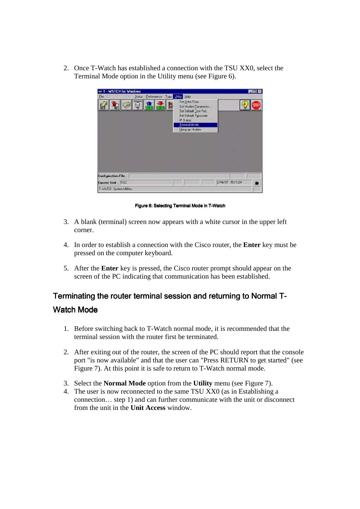2. Once T-Watch has established a connection with the TSU XX0, select the Terminal Mode option in the Utility menu (see Figure 6).



Figure 6: Selecting Terminal Mode in T-Watch

- 3. A blank (terminal) screen now appears with a white cursor in the upper left corner.
- 4. In order to establish a connection with the Cisco router, the **Enter** key must be pressed on the computer keyboard.
- 5. After the **Enter** key is pressed, the Cisco router prompt should appear on the screen of the PC indicating that communication has been established.

# Terminating the router terminal session and returning to Normal T-Watch Mode

- 1. Before switching back to T-Watch normal mode, it is recommended that the terminal session with the router first be terminated.
- 2. After exiting out of the router, the screen of the PC should report that the console port "is now available" and that the user can "Press RETURN to get started" (see Figure 7). At this point it is safe to return to T-Watch normal mode.
- 3. Select the **Normal Mode** option from the **Utility** menu (see Figure 7).
- 4. The user is now reconnected to the same TSU XX0 (as in Establishing a connection… step 1) and can further communicate with the unit or disconnect from the unit in the **Unit Access** window.